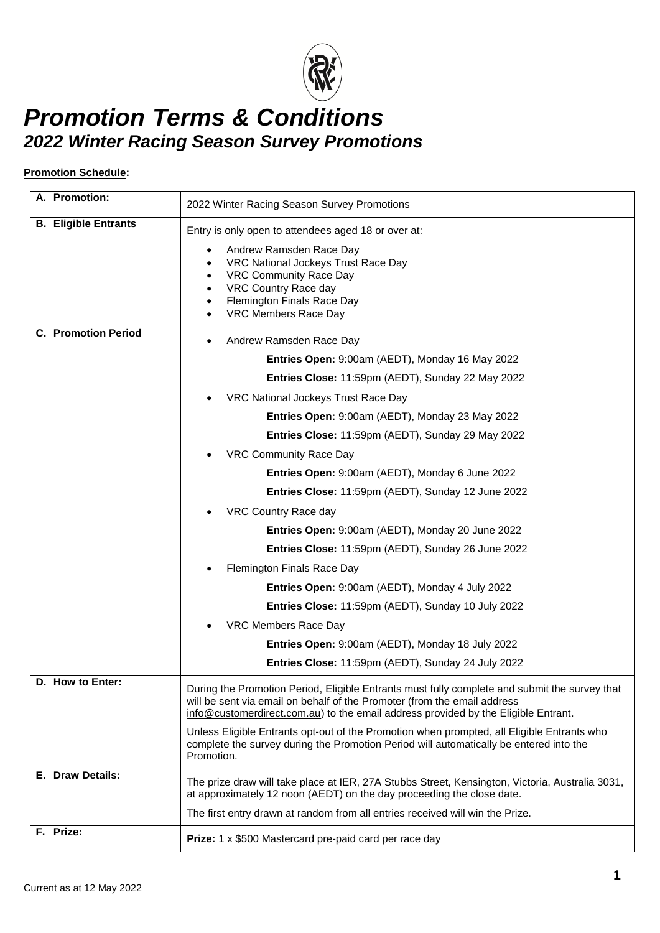

#### **Promotion Schedule:**

| A. Promotion:               | 2022 Winter Racing Season Survey Promotions                                                                                                                                                                                                                     |
|-----------------------------|-----------------------------------------------------------------------------------------------------------------------------------------------------------------------------------------------------------------------------------------------------------------|
| <b>B. Eligible Entrants</b> | Entry is only open to attendees aged 18 or over at:                                                                                                                                                                                                             |
|                             | Andrew Ramsden Race Day<br>VRC National Jockeys Trust Race Day<br>VRC Community Race Day<br>VRC Country Race day<br>Flemington Finals Race Day<br>VRC Members Race Day                                                                                          |
| <b>C.</b> Promotion Period  | Andrew Ramsden Race Day<br>$\bullet$                                                                                                                                                                                                                            |
|                             | Entries Open: 9:00am (AEDT), Monday 16 May 2022                                                                                                                                                                                                                 |
|                             | Entries Close: 11:59pm (AEDT), Sunday 22 May 2022                                                                                                                                                                                                               |
|                             | VRC National Jockeys Trust Race Day                                                                                                                                                                                                                             |
|                             | Entries Open: 9:00am (AEDT), Monday 23 May 2022                                                                                                                                                                                                                 |
|                             | Entries Close: 11:59pm (AEDT), Sunday 29 May 2022                                                                                                                                                                                                               |
|                             | VRC Community Race Day                                                                                                                                                                                                                                          |
|                             | Entries Open: 9:00am (AEDT), Monday 6 June 2022                                                                                                                                                                                                                 |
|                             | Entries Close: 11:59pm (AEDT), Sunday 12 June 2022                                                                                                                                                                                                              |
|                             | VRC Country Race day                                                                                                                                                                                                                                            |
|                             | Entries Open: 9:00am (AEDT), Monday 20 June 2022                                                                                                                                                                                                                |
|                             | Entries Close: 11:59pm (AEDT), Sunday 26 June 2022                                                                                                                                                                                                              |
|                             | Flemington Finals Race Day                                                                                                                                                                                                                                      |
|                             | Entries Open: 9:00am (AEDT), Monday 4 July 2022                                                                                                                                                                                                                 |
|                             | Entries Close: 11:59pm (AEDT), Sunday 10 July 2022                                                                                                                                                                                                              |
|                             | VRC Members Race Day                                                                                                                                                                                                                                            |
|                             | Entries Open: 9:00am (AEDT), Monday 18 July 2022                                                                                                                                                                                                                |
|                             | Entries Close: 11:59pm (AEDT), Sunday 24 July 2022                                                                                                                                                                                                              |
| D. How to Enter:            | During the Promotion Period, Eligible Entrants must fully complete and submit the survey that<br>will be sent via email on behalf of the Promoter (from the email address<br>info@customerdirect.com.au) to the email address provided by the Eligible Entrant. |
|                             | Unless Eligible Entrants opt-out of the Promotion when prompted, all Eligible Entrants who<br>complete the survey during the Promotion Period will automatically be entered into the<br>Promotion.                                                              |
| E. Draw Details:            | The prize draw will take place at IER, 27A Stubbs Street, Kensington, Victoria, Australia 3031,<br>at approximately 12 noon (AEDT) on the day proceeding the close date.                                                                                        |
|                             | The first entry drawn at random from all entries received will win the Prize.                                                                                                                                                                                   |
| F. Prize:                   | Prize: 1 x \$500 Mastercard pre-paid card per race day                                                                                                                                                                                                          |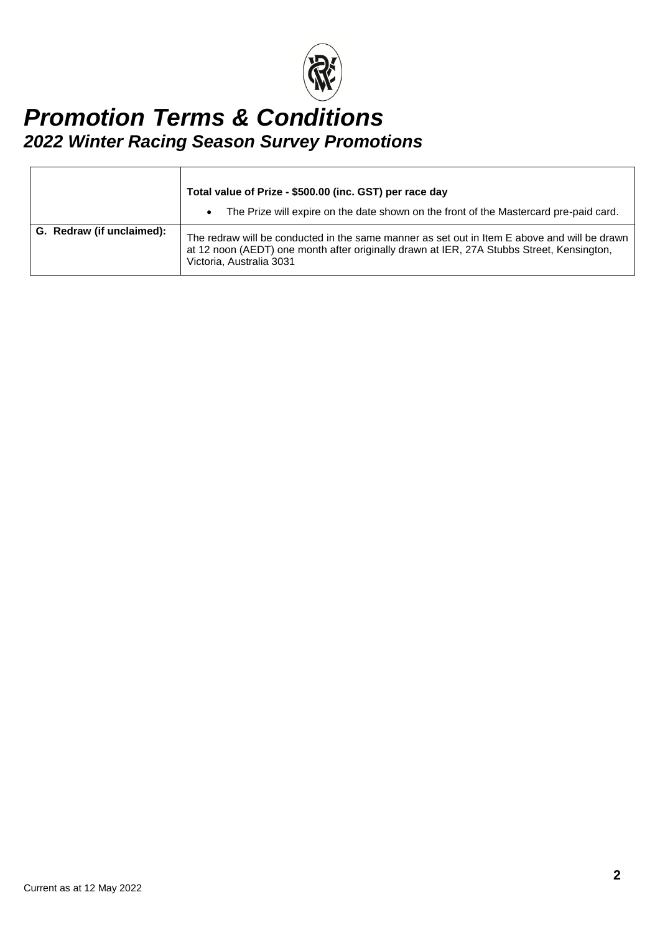

|                           | Total value of Prize - \$500.00 (inc. GST) per race day<br>The Prize will expire on the date shown on the front of the Mastercard pre-paid card.<br>٠                                                                 |
|---------------------------|-----------------------------------------------------------------------------------------------------------------------------------------------------------------------------------------------------------------------|
| G. Redraw (if unclaimed): | The redraw will be conducted in the same manner as set out in Item E above and will be drawn<br>at 12 noon (AEDT) one month after originally drawn at IER, 27A Stubbs Street, Kensington,<br>Victoria, Australia 3031 |

 $\mathsf{r}$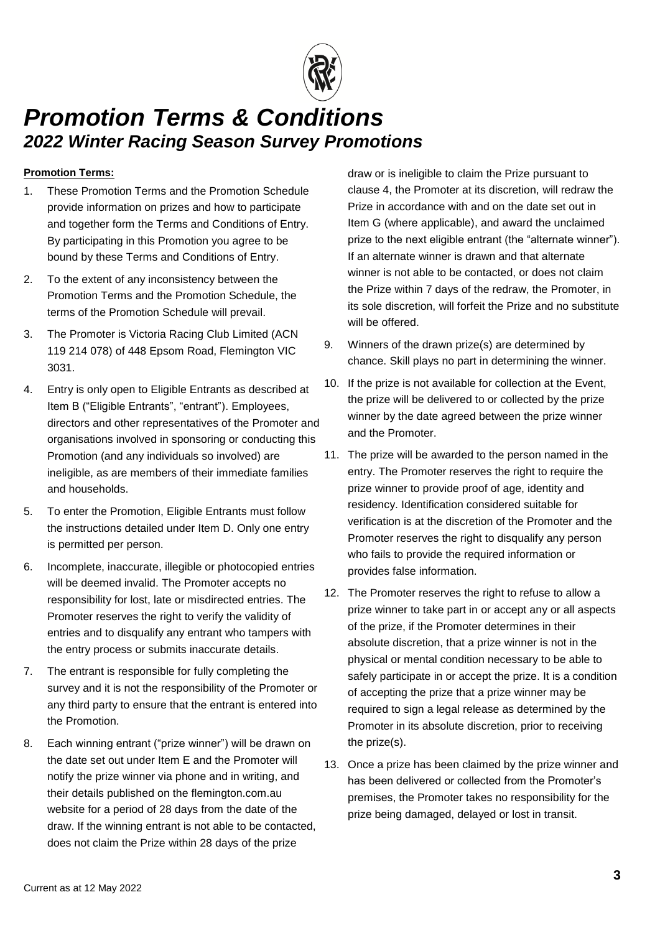

#### **Promotion Terms:**

- 1. These Promotion Terms and the Promotion Schedule provide information on prizes and how to participate and together form the Terms and Conditions of Entry. By participating in this Promotion you agree to be bound by these Terms and Conditions of Entry.
- 2. To the extent of any inconsistency between the Promotion Terms and the Promotion Schedule, the terms of the Promotion Schedule will prevail.
- 3. The Promoter is Victoria Racing Club Limited (ACN 119 214 078) of 448 Epsom Road, Flemington VIC 3031.
- <span id="page-2-0"></span>4. Entry is only open to Eligible Entrants as described at Item B ("Eligible Entrants", "entrant"). Employees, directors and other representatives of the Promoter and organisations involved in sponsoring or conducting this Promotion (and any individuals so involved) are ineligible, as are members of their immediate families and households.
- 5. To enter the Promotion, Eligible Entrants must follow the instructions detailed under Item D. Only one entry is permitted per person.
- 6. Incomplete, inaccurate, illegible or photocopied entries will be deemed invalid. The Promoter accepts no responsibility for lost, late or misdirected entries. The Promoter reserves the right to verify the validity of entries and to disqualify any entrant who tampers with the entry process or submits inaccurate details.
- 7. The entrant is responsible for fully completing the survey and it is not the responsibility of the Promoter or any third party to ensure that the entrant is entered into the Promotion.
- 8. Each winning entrant ("prize winner") will be drawn on the date set out under Item E and the Promoter will notify the prize winner via phone and in writing, and their details published on the flemington.com.au website for a period of 28 days from the date of the draw. If the winning entrant is not able to be contacted, does not claim the Prize within 28 days of the prize

draw or is ineligible to claim the Prize pursuant to clause [4,](#page-2-0) the Promoter at its discretion, will redraw the Prize in accordance with and on the date set out in Item G (where applicable), and award the unclaimed prize to the next eligible entrant (the "alternate winner"). If an alternate winner is drawn and that alternate winner is not able to be contacted, or does not claim the Prize within 7 days of the redraw, the Promoter, in its sole discretion, will forfeit the Prize and no substitute will be offered.

- 9. Winners of the drawn prize(s) are determined by chance. Skill plays no part in determining the winner.
- 10. If the prize is not available for collection at the Event, the prize will be delivered to or collected by the prize winner by the date agreed between the prize winner and the Promoter.
- 11. The prize will be awarded to the person named in the entry. The Promoter reserves the right to require the prize winner to provide proof of age, identity and residency. Identification considered suitable for verification is at the discretion of the Promoter and the Promoter reserves the right to disqualify any person who fails to provide the required information or provides false information.
- 12. The Promoter reserves the right to refuse to allow a prize winner to take part in or accept any or all aspects of the prize, if the Promoter determines in their absolute discretion, that a prize winner is not in the physical or mental condition necessary to be able to safely participate in or accept the prize. It is a condition of accepting the prize that a prize winner may be required to sign a legal release as determined by the Promoter in its absolute discretion, prior to receiving the prize(s).
- 13. Once a prize has been claimed by the prize winner and has been delivered or collected from the Promoter's premises, the Promoter takes no responsibility for the prize being damaged, delayed or lost in transit.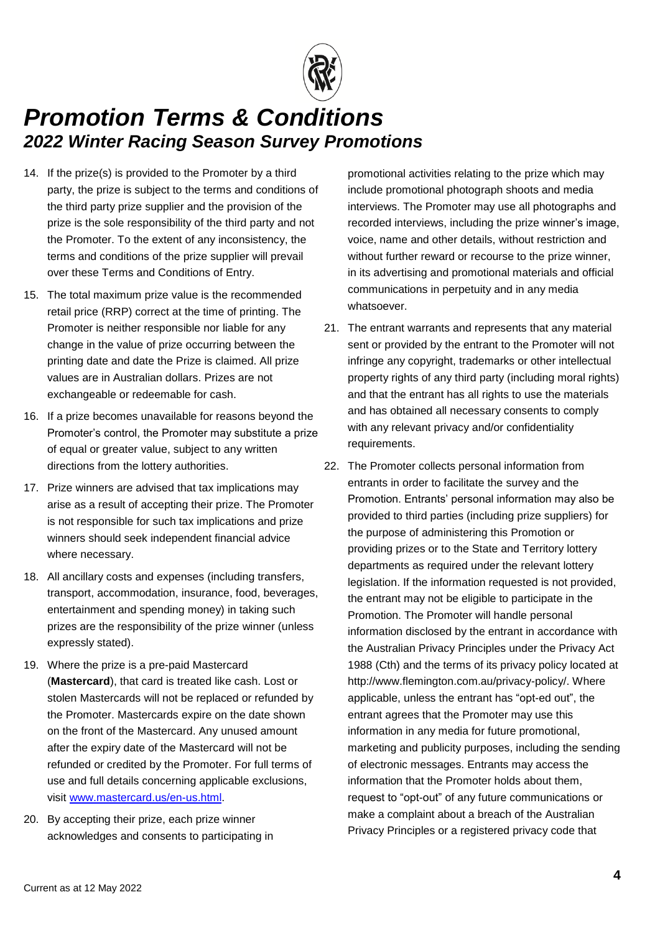

- 14. If the prize(s) is provided to the Promoter by a third party, the prize is subject to the terms and conditions of the third party prize supplier and the provision of the prize is the sole responsibility of the third party and not the Promoter. To the extent of any inconsistency, the terms and conditions of the prize supplier will prevail over these Terms and Conditions of Entry.
- 15. The total maximum prize value is the recommended retail price (RRP) correct at the time of printing. The Promoter is neither responsible nor liable for any change in the value of prize occurring between the printing date and date the Prize is claimed. All prize values are in Australian dollars. Prizes are not exchangeable or redeemable for cash.
- 16. If a prize becomes unavailable for reasons beyond the Promoter's control, the Promoter may substitute a prize of equal or greater value, subject to any written directions from the lottery authorities.
- 17. Prize winners are advised that tax implications may arise as a result of accepting their prize. The Promoter is not responsible for such tax implications and prize winners should seek independent financial advice where necessary.
- 18. All ancillary costs and expenses (including transfers, transport, accommodation, insurance, food, beverages, entertainment and spending money) in taking such prizes are the responsibility of the prize winner (unless expressly stated).
- 19. Where the prize is a pre-paid Mastercard (**Mastercard**), that card is treated like cash. Lost or stolen Mastercards will not be replaced or refunded by the Promoter. Mastercards expire on the date shown on the front of the Mastercard. Any unused amount after the expiry date of the Mastercard will not be refunded or credited by the Promoter. For full terms of use and full details concerning applicable exclusions, visit [www.mastercard.us/en-us.html.](http://www.mastercard.us/en-us.html)
- 20. By accepting their prize, each prize winner acknowledges and consents to participating in

promotional activities relating to the prize which may include promotional photograph shoots and media interviews. The Promoter may use all photographs and recorded interviews, including the prize winner's image, voice, name and other details, without restriction and without further reward or recourse to the prize winner, in its advertising and promotional materials and official communications in perpetuity and in any media whatsoever.

- 21. The entrant warrants and represents that any material sent or provided by the entrant to the Promoter will not infringe any copyright, trademarks or other intellectual property rights of any third party (including moral rights) and that the entrant has all rights to use the materials and has obtained all necessary consents to comply with any relevant privacy and/or confidentiality requirements.
- 22. The Promoter collects personal information from entrants in order to facilitate the survey and the Promotion. Entrants' personal information may also be provided to third parties (including prize suppliers) for the purpose of administering this Promotion or providing prizes or to the State and Territory lottery departments as required under the relevant lottery legislation. If the information requested is not provided, the entrant may not be eligible to participate in the Promotion. The Promoter will handle personal information disclosed by the entrant in accordance with the Australian Privacy Principles under the Privacy Act 1988 (Cth) and the terms of its privacy policy located at http://www.flemington.com.au/privacy-policy/. Where applicable, unless the entrant has "opt-ed out", the entrant agrees that the Promoter may use this information in any media for future promotional, marketing and publicity purposes, including the sending of electronic messages. Entrants may access the information that the Promoter holds about them, request to "opt-out" of any future communications or make a complaint about a breach of the Australian Privacy Principles or a registered privacy code that